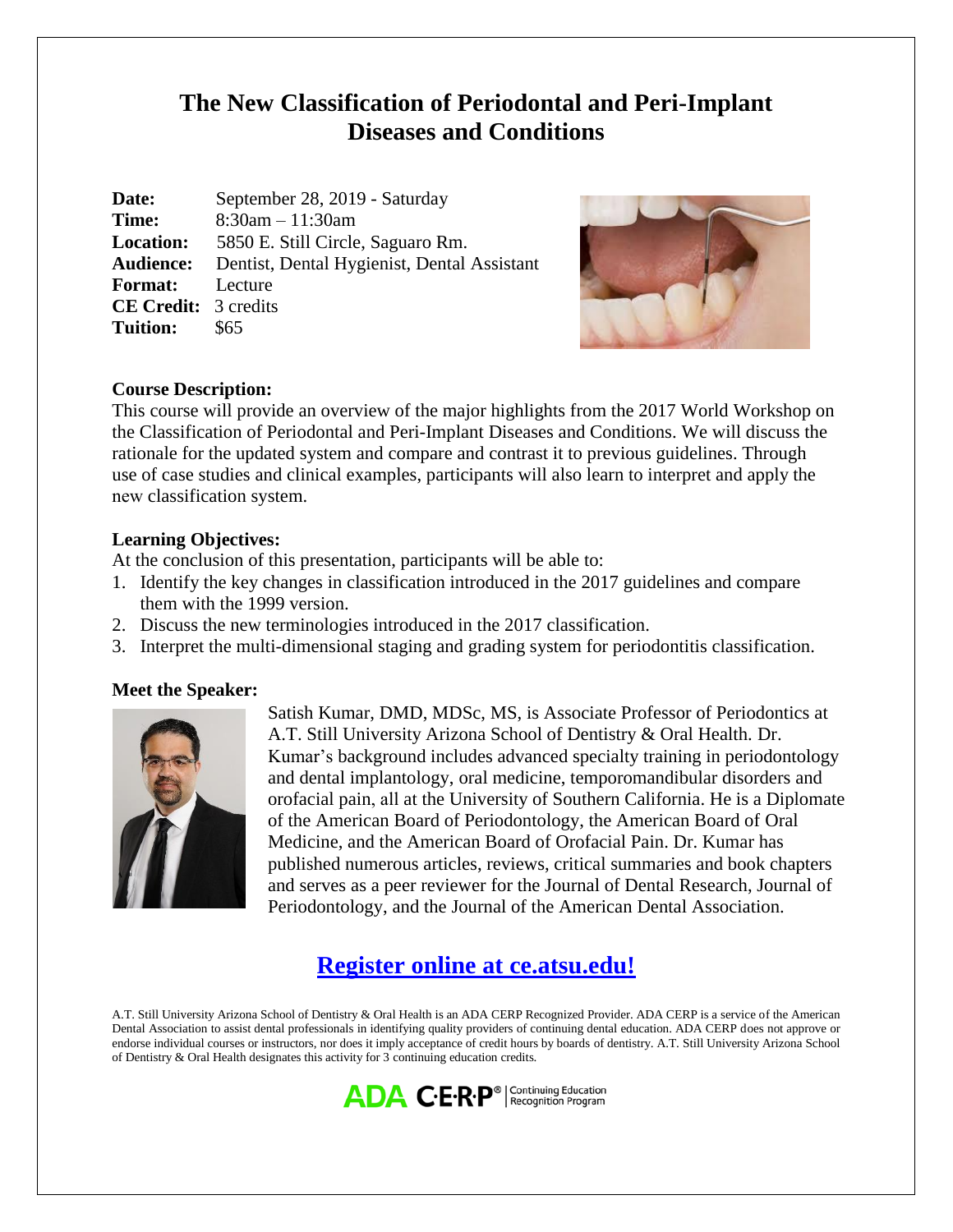# **The New Classification of Periodontal and Peri-Implant Diseases and Conditions**

| Date:                       | September 28, 2019 - Saturday                                |
|-----------------------------|--------------------------------------------------------------|
| Time:                       | $8:30am - 11:30am$                                           |
| <b>Location:</b>            | 5850 E. Still Circle, Saguaro Rm.                            |
|                             | <b>Audience:</b> Dentist, Dental Hygienist, Dental Assistant |
| <b>Format:</b> Lecture      |                                                              |
| <b>CE Credit:</b> 3 credits |                                                              |
| <b>Tuition:</b>             | \$65                                                         |



## **Course Description:**

This course will provide an overview of the major highlights from the 2017 World Workshop on the Classification of Periodontal and Peri-Implant Diseases and Conditions. We will discuss the rationale for the updated system and compare and contrast it to previous guidelines. Through use of case studies and clinical examples, participants will also learn to interpret and apply the new classification system.

## **Learning Objectives:**

At the conclusion of this presentation, participants will be able to:

- 1. Identify the key changes in classification introduced in the 2017 guidelines and compare them with the 1999 version.
- 2. Discuss the new terminologies introduced in the 2017 classification.
- 3. Interpret the multi-dimensional staging and grading system for periodontitis classification.

## **Meet the Speaker:**



Satish Kumar, DMD, MDSc, MS, is Associate Professor of Periodontics at A.T. Still University Arizona School of Dentistry & Oral Health. Dr. Kumar's background includes advanced specialty training in periodontology and dental implantology, oral medicine, temporomandibular disorders and orofacial pain, all at the University of Southern California. He is a Diplomate of the American Board of Periodontology, the American Board of Oral Medicine, and the American Board of Orofacial Pain. Dr. Kumar has published numerous articles, reviews, critical summaries and book chapters and serves as a peer reviewer for the Journal of Dental Research, Journal of Periodontology, and the Journal of the American Dental Association.

# **[Register online at ce.atsu.edu!](https://ce.atsu.edu/)**

A.T. Still University Arizona School of Dentistry & Oral Health is an ADA CERP Recognized Provider. ADA CERP is a service of the American Dental Association to assist dental professionals in identifying quality providers of continuing dental education. ADA CERP does not approve or endorse individual courses or instructors, nor does it imply acceptance of credit hours by boards of dentistry. A.T. Still University Arizona School of Dentistry & Oral Health designates this activity for 3 continuing education credits.